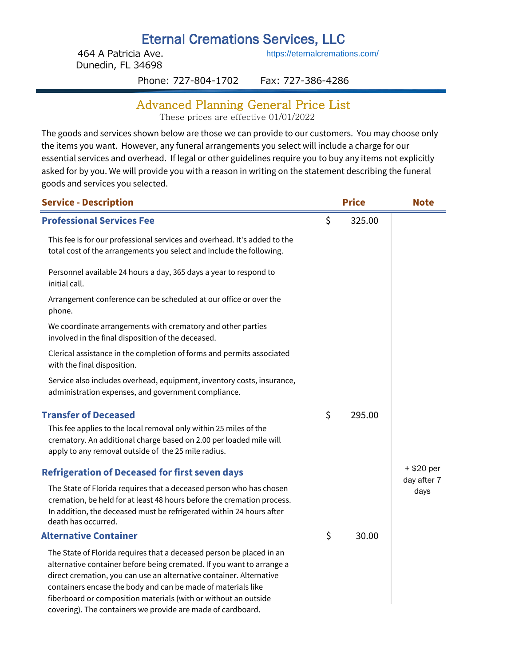# Eternal Cremations Services, LLC

464 A Patricia Ave. Dunedin, FL 34698

[h](https://eternalcremations.com/)ttps://eternalcremations.com/

Phone: 727-804-1702 Fax: 727-386-4286

#### Advanced Planning General Price List

These prices are effective 01/01/2022

The goods and services shown below are those we can provide to our customers. You may choose only the items you want. However, any funeral arrangements you select will include a charge for our essential services and overhead. If legal or other guidelines require you to buy any items not explicitly asked for by you. We will provide you with a reason in writing on the statement describing the funeral goods and services you selected.

| <b>Service - Description</b>                                                                                                                                                                                                                                                                                                                                                                                           |    | <b>Price</b> | <b>Note</b>         |
|------------------------------------------------------------------------------------------------------------------------------------------------------------------------------------------------------------------------------------------------------------------------------------------------------------------------------------------------------------------------------------------------------------------------|----|--------------|---------------------|
| <b>Professional Services Fee</b>                                                                                                                                                                                                                                                                                                                                                                                       | \$ | 325.00       |                     |
| This fee is for our professional services and overhead. It's added to the<br>total cost of the arrangements you select and include the following.                                                                                                                                                                                                                                                                      |    |              |                     |
| Personnel available 24 hours a day, 365 days a year to respond to<br>initial call.                                                                                                                                                                                                                                                                                                                                     |    |              |                     |
| Arrangement conference can be scheduled at our office or over the<br>phone.                                                                                                                                                                                                                                                                                                                                            |    |              |                     |
| We coordinate arrangements with crematory and other parties<br>involved in the final disposition of the deceased.                                                                                                                                                                                                                                                                                                      |    |              |                     |
| Clerical assistance in the completion of forms and permits associated<br>with the final disposition.                                                                                                                                                                                                                                                                                                                   |    |              |                     |
| Service also includes overhead, equipment, inventory costs, insurance,<br>administration expenses, and government compliance.                                                                                                                                                                                                                                                                                          |    |              |                     |
| <b>Transfer of Deceased</b><br>This fee applies to the local removal only within 25 miles of the<br>crematory. An additional charge based on 2.00 per loaded mile will<br>apply to any removal outside of the 25 mile radius.                                                                                                                                                                                          | \$ | 295.00       |                     |
| <b>Refrigeration of Deceased for first seven days</b>                                                                                                                                                                                                                                                                                                                                                                  |    |              | + \$20 per          |
| The State of Florida requires that a deceased person who has chosen<br>cremation, be held for at least 48 hours before the cremation process.<br>In addition, the deceased must be refrigerated within 24 hours after<br>death has occurred.                                                                                                                                                                           |    |              | day after 7<br>days |
| <b>Alternative Container</b>                                                                                                                                                                                                                                                                                                                                                                                           | \$ | 30.00        |                     |
| The State of Florida requires that a deceased person be placed in an<br>alternative container before being cremated. If you want to arrange a<br>direct cremation, you can use an alternative container. Alternative<br>containers encase the body and can be made of materials like<br>fiberboard or composition materials (with or without an outside<br>covering). The containers we provide are made of cardboard. |    |              |                     |